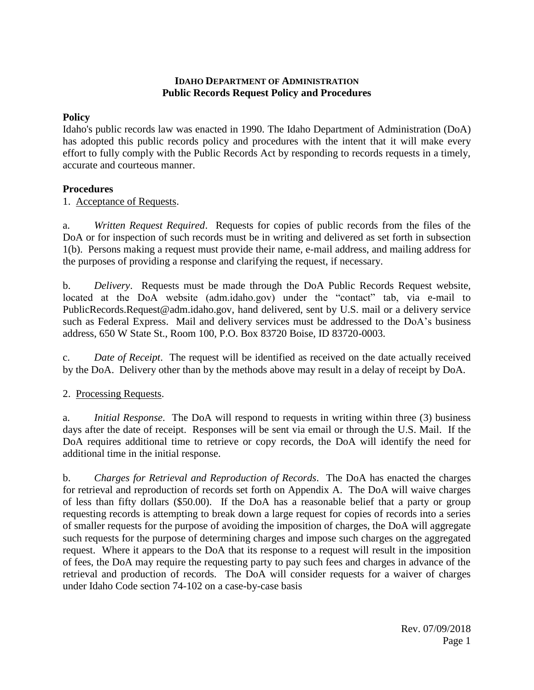### **IDAHO DEPARTMENT OF ADMINISTRATION Public Records Request Policy and Procedures**

### **Policy**

Idaho's public records law was enacted in 1990. The Idaho Department of Administration (DoA) has adopted this public records policy and procedures with the intent that it will make every effort to fully comply with the Public Records Act by responding to records requests in a timely, accurate and courteous manner.

### **Procedures**

1. Acceptance of Requests.

a. *Written Request Required*. Requests for copies of public records from the files of the DoA or for inspection of such records must be in writing and delivered as set forth in subsection 1(b). Persons making a request must provide their name, e-mail address, and mailing address for the purposes of providing a response and clarifying the request, if necessary.

b. *Delivery*. Requests must be made through the DoA Public Records Request website, located at the DoA website (adm.idaho.gov) under the "contact" tab, via e-mail to PublicRecords.Request@adm.idaho.gov, hand delivered, sent by U.S. mail or a delivery service such as Federal Express. Mail and delivery services must be addressed to the DoA's business address, 650 W State St., Room 100, P.O. Box 83720 Boise, ID 83720-0003.

c. *Date of Receipt*. The request will be identified as received on the date actually received by the DoA. Delivery other than by the methods above may result in a delay of receipt by DoA.

## 2. Processing Requests.

a. *Initial Response*. The DoA will respond to requests in writing within three (3) business days after the date of receipt. Responses will be sent via email or through the U.S. Mail. If the DoA requires additional time to retrieve or copy records, the DoA will identify the need for additional time in the initial response.

b. *Charges for Retrieval and Reproduction of Records*. The DoA has enacted the charges for retrieval and reproduction of records set forth on Appendix A. The DoA will waive charges of less than fifty dollars (\$50.00). If the DoA has a reasonable belief that a party or group requesting records is attempting to break down a large request for copies of records into a series of smaller requests for the purpose of avoiding the imposition of charges, the DoA will aggregate such requests for the purpose of determining charges and impose such charges on the aggregated request. Where it appears to the DoA that its response to a request will result in the imposition of fees, the DoA may require the requesting party to pay such fees and charges in advance of the retrieval and production of records. The DoA will consider requests for a waiver of charges under Idaho Code section 74-102 on a case-by-case basis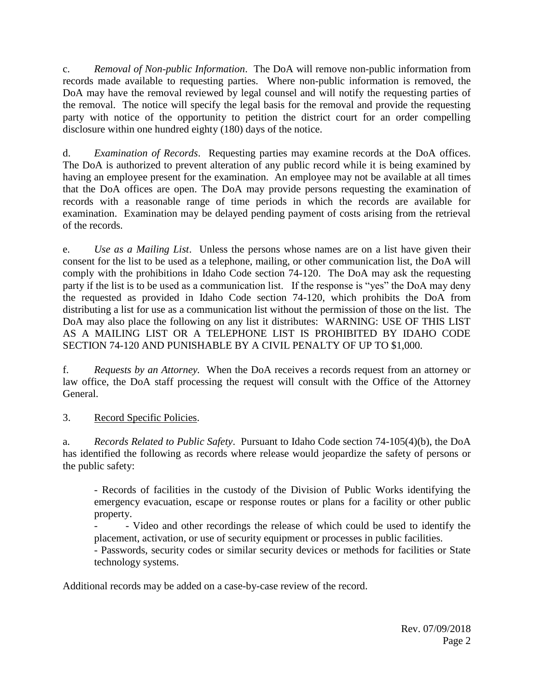c. *Removal of Non-public Information*. The DoA will remove non-public information from records made available to requesting parties. Where non-public information is removed, the DoA may have the removal reviewed by legal counsel and will notify the requesting parties of the removal. The notice will specify the legal basis for the removal and provide the requesting party with notice of the opportunity to petition the district court for an order compelling disclosure within one hundred eighty (180) days of the notice.

d. *Examination of Records*. Requesting parties may examine records at the DoA offices. The DoA is authorized to prevent alteration of any public record while it is being examined by having an employee present for the examination. An employee may not be available at all times that the DoA offices are open. The DoA may provide persons requesting the examination of records with a reasonable range of time periods in which the records are available for examination. Examination may be delayed pending payment of costs arising from the retrieval of the records.

e. *Use as a Mailing List*. Unless the persons whose names are on a list have given their consent for the list to be used as a telephone, mailing, or other communication list, the DoA will comply with the prohibitions in Idaho Code section 74-120. The DoA may ask the requesting party if the list is to be used as a communication list. If the response is "yes" the DoA may deny the requested as provided in Idaho Code section 74-120, which prohibits the DoA from distributing a list for use as a communication list without the permission of those on the list. The DoA may also place the following on any list it distributes: WARNING: USE OF THIS LIST AS A MAILING LIST OR A TELEPHONE LIST IS PROHIBITED BY IDAHO CODE SECTION 74-120 AND PUNISHABLE BY A CIVIL PENALTY OF UP TO \$1,000.

f. *Requests by an Attorney.* When the DoA receives a records request from an attorney or law office, the DoA staff processing the request will consult with the Office of the Attorney General.

3. Record Specific Policies.

a. *Records Related to Public Safety*. Pursuant to Idaho Code section 74-105(4)(b), the DoA has identified the following as records where release would jeopardize the safety of persons or the public safety:

- Records of facilities in the custody of the Division of Public Works identifying the emergency evacuation, escape or response routes or plans for a facility or other public property.

- Video and other recordings the release of which could be used to identify the placement, activation, or use of security equipment or processes in public facilities.

- Passwords, security codes or similar security devices or methods for facilities or State technology systems.

Additional records may be added on a case-by-case review of the record.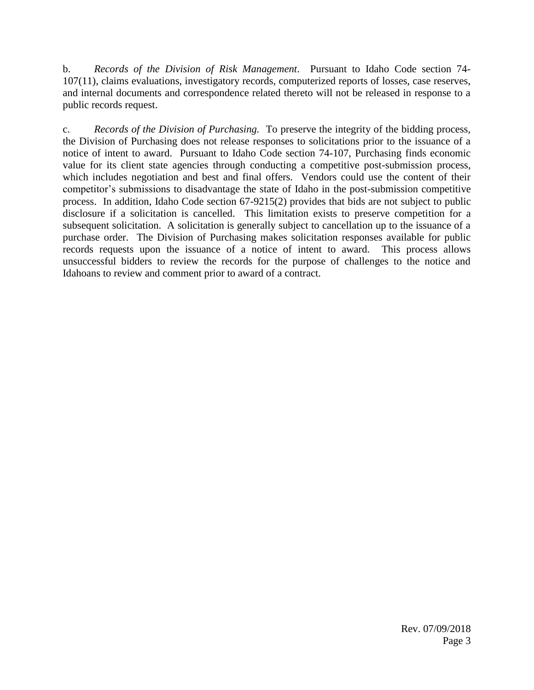b. *Records of the Division of Risk Management*. Pursuant to Idaho Code section 74- 107(11), claims evaluations, investigatory records, computerized reports of losses, case reserves, and internal documents and correspondence related thereto will not be released in response to a public records request.

c. *Records of the Division of Purchasing.* To preserve the integrity of the bidding process, the Division of Purchasing does not release responses to solicitations prior to the issuance of a notice of intent to award. Pursuant to Idaho Code section 74-107, Purchasing finds economic value for its client state agencies through conducting a competitive post-submission process, which includes negotiation and best and final offers. Vendors could use the content of their competitor's submissions to disadvantage the state of Idaho in the post-submission competitive process. In addition, Idaho Code section 67-9215(2) provides that bids are not subject to public disclosure if a solicitation is cancelled. This limitation exists to preserve competition for a subsequent solicitation. A solicitation is generally subject to cancellation up to the issuance of a purchase order. The Division of Purchasing makes solicitation responses available for public records requests upon the issuance of a notice of intent to award. This process allows unsuccessful bidders to review the records for the purpose of challenges to the notice and Idahoans to review and comment prior to award of a contract.